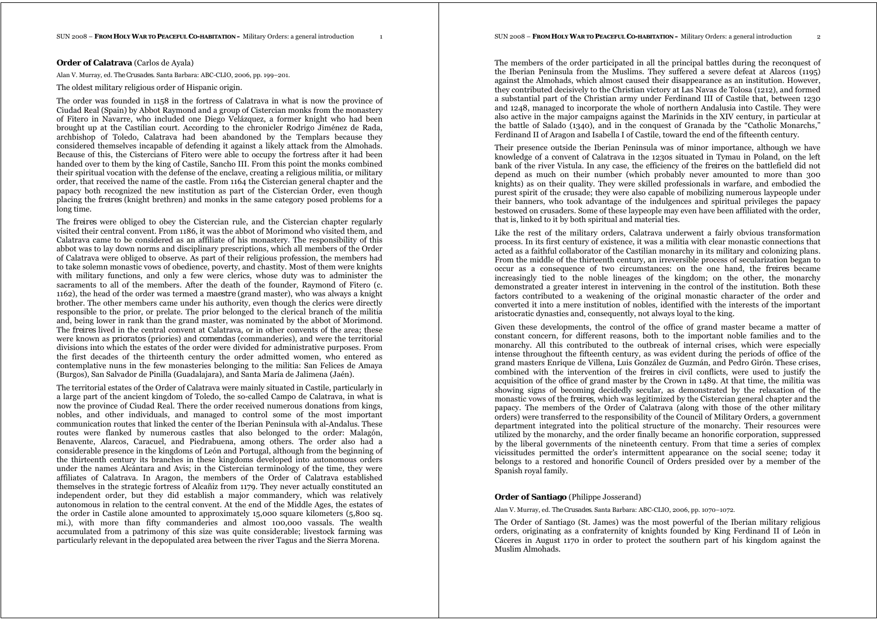#### SUN 2008 – **FROM HOLY WAR TO PEACEFUL CO-HABITATION –** Military Orders: a general introduction 2

#### **Order of Calatrava** (Carlos de Ayala)

Alan V. Murray, ed. *The Crusades*. Santa Barbara: ABC-CLIO, 2006, pp. 199–201.

# The oldest military religious order of Hispanic origin.

The order was founded in 1158 in the fortress of Calatrava in what is now the province of Ciudad Real (Spain) by Abbot Raymond and a group of Cistercian monks from the monastery of Fitero in Navarre, who included one Diego Velázquez, a former knight who had been brought up at the Castilian court. According to the chronicler Rodrigo Jiménez de Rada, archbishop of Toledo, Calatrava had been abandoned by the Templars because they considered themselves incapable of defending it against a likely attack from the Almohads. Because of this, the Cistercians of Fitero were able to occupy the fortress after it had been handed over to them by the king of Castile, Sancho III. From this point the monks combined their spiritual vocation with the defense of the enclave, creating a religious militia, or military order, that received the name of the castle. From 1164 the Cistercian general chapter and the papacy both recognized the new institution as part of the Cistercian Order, even though placing the *freires* (knight brethren) and monks in the same category posed problems for a long time.

The *freires* were obliged to obey the Cistercian rule, and the Cistercian chapter regularly visited their central convent. From 1186, it was the abbot of Morimond who visited them, and Calatrava came to be considered as an affiliate of his monastery. The responsibility of this abbot was to lay down norms and disciplinary prescriptions, which all members of the Order of Calatrava were obliged to observe. As part of their religious profession, the members had to take solemn monastic vows of obedience, poverty, and chastity. Most of them were knights with military functions, and only a few were clerics, whose duty was to administer the sacraments to all of the members. After the death of the founder, Raymond of Fitero (c. 1162), the head of the order was termed a *maestre* (grand master), who was always a knight brother. The other members came under his authority, even though the clerics were directly responsible to the prior, or prelate. The prior belonged to the clerical branch of the militia and, being lower in rank than the grand master, was nominated by the abbot of Morimond. The *freires* lived in the central convent at Calatrava, or in other convents of the area; these were known as *prioratos* (priories) and *comendas* (commanderies), and were the territorial divisions into which the estates of the order were divided for administrative purposes. From the first decades of the thirteenth century the order admitted women, who entered as contemplative nuns in the few monasteries belonging to the militia: San Felices de Amaya (Burgos), San Salvador de Pinilla (Guadalajara), and Santa María de Jalimena (Jaén).

The territorial estates of the Order of Calatrava were mainly situated in Castile, particularly in a large part of the ancient kingdom of Toledo, the so-called Campo de Calatrava, in what is now the province of Ciudad Real. There the order received numerous donations from kings, nobles, and other individuals, and managed to control some of the most important communication routes that linked the center of the Iberian Peninsula with al-Andalus. These routes were flanked by numerous castles that also belonged to the order: Malagón, Benavente, Alarcos, Caracuel, and Piedrabuena, among others. The order also had a considerable presence in the kingdoms of León and Portugal, although from the beginning of the thirteenth century its branches in these kingdoms developed into autonomous orders under the names Alcántara and Avis; in the Cistercian terminology of the time, they were affiliates of Calatrava. In Aragon, the members of the Order of Calatrava established themselves in the strategic fortress of Alcañiz from 1179. They never actually constituted an independent order, but they did establish a major commandery, which was relatively autonomous in relation to the central convent. At the end of the Middle Ages, the estates of the order in Castile alone amounted to approximately 15,000 square kilometers (5,800 sq. mi.), with more than fifty commanderies and almost 100,000 vassals. The wealth accumulated from a patrimony of this size was quite considerable; livestock farming was particularly relevant in the depopulated area between the river Tagus and the Sierra Morena.

The members of the order participated in all the principal battles during the reconquest of the Iberian Peninsula from the Muslims. They suffered a severe defeat at Alarcos (1195) against the Almohads, which almost caused their disappearance as an institution. However, they contributed decisively to the Christian victory at Las Navas de Tolosa (1212), and formed a substantial part of the Christian army under Ferdinand III of Castile that, between 1230 and 1248, managed to incorporate the whole of northern Andalusia into Castile. They were also active in the major campaigns against the Marīnids in the XIV century, in particular at the battle of Salado (1340), and in the conquest of Granada by the "Catholic Monarchs," Ferdinand II of Aragon and Isabella I of Castile, toward the end of the fifteenth century.

Their presence outside the Iberian Peninsula was of minor importance, although we have knowledge of a convent of Calatrava in the 1230s situated in Tymau in Poland, on the left bank of the river Vistula. In any case, the efficiency of the *freires* on the battlefield did not depend as much on their number (which probably never amounted to more than 300 knights) as on their quality. They were skilled professionals in warfare, and embodied the purest spirit of the crusade; they were also capable of mobilizing numerous laypeople under their banners, who took advantage of the indulgences and spiritual privileges the papacy bestowed on crusaders. Some of these laypeople may even have been affiliated with the order, that is, linked to it by both spiritual and material ties.

Like the rest of the military orders, Calatrava underwent a fairly obvious transformation process. In its first century of existence, it was a militia with clear monastic connections that acted as a faithful collaborator of the Castilian monarchy in its military and colonizing plans. From the middle of the thirteenth century, an irreversible process of secularization began to occur as a consequence of two circumstances: on the one hand, the *freires* became increasingly tied to the noble lineages of the kingdom; on the other, the monarchy demonstrated a greater interest in intervening in the control of the institution. Both these factors contributed to a weakening of the original monastic character of the order and converted it into a mere institution of nobles, identified with the interests of the important aristocratic dynasties and, consequently, not always loyal to the king.

Given these developments, the control of the office of grand master became a matter of constant concern, for different reasons, both to the important noble families and to the monarchy. All this contributed to the outbreak of internal crises, which were especially intense throughout the fifteenth century, as was evident during the periods of office of the grand masters Enrique de Villena, Luis González de Guzmán, and Pedro Girón. These crises, combined with the intervention of the *freires* in civil conflicts, were used to justify the acquisition of the office of grand master by the Crown in 1489. At that time, the militia was showing signs of becoming decidedly secular, as demonstrated by the relaxation of the monastic vows of the *freires,* which was legitimized by the Cistercian general chapter and the papacy. The members of the Order of Calatrava (along with those of the other military orders) were transferred to the responsibility of the Council of Military Orders, a government department integrated into the political structure of the monarchy. Their resources were utilized by the monarchy, and the order finally became an honorific corporation, suppressed by the liberal governments of the nineteenth century. From that time a series of complex vicissitudes permitted the order's intermittent appearance on the social scene; today it belongs to a restored and honorific Council of Orders presided over by a member of the Spanish royal family.

#### **Order of Santiago** (Philippe Josserand)

Alan V. Murray, ed. *The Crusades*. Santa Barbara: ABC-CLIO, 2006, pp. 1070–1072.

The Order of Santiago (St. James) was the most powerful of the Iberian military religious orders, originating as a confraternity of knights founded by King Ferdinand II of León in Cáceres in August 1170 in order to protect the southern part of his kingdom against the Muslim Almohads.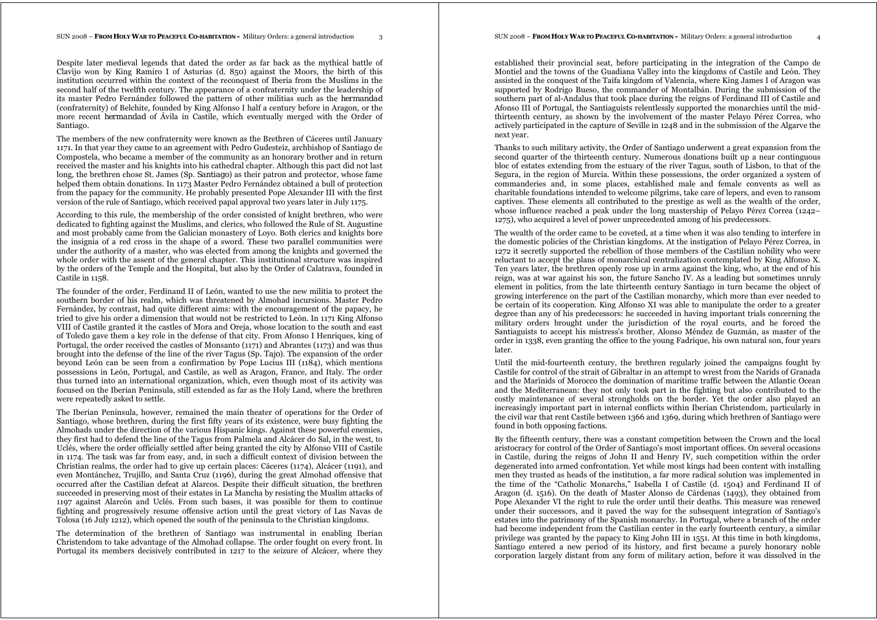Despite later medieval legends that dated the order as far back as the mythical battle of Clavijo won by King Ramiro I of Asturias (d. 850) against the Moors, the birth of this institution occurred within the context of the reconquest of Iberia from the Muslims in the second half of the twelfth century. The appearance of a confraternity under the leadership of its master Pedro Fernández followed the pattern of other militias such as the *hermandad* (confraternity) of Belchite, founded by King Alfonso I half a century before in Aragon, or the more recent *hermandad* of Ávila in Castile, which eventually merged with the Order of Santiago.

The members of the new confraternity were known as the Brethren of Cáceres until January 1171. In that year they came to an agreement with Pedro Gudesteiz, archbishop of Santiago de Compostela, who became a member of the community as an honorary brother and in return received the master and his knights into his cathedral chapter. Although this pact did not last long, the brethren chose St. James (Sp. *Santiago*) as their patron and protector, whose fame helped them obtain donations. In 1173 Master Pedro Fernández obtained a bull of protection from the papacy for the community. He probably presented Pope Alexander III with the first version of the rule of Santiago, which received papal approval two years later in July 1175.

According to this rule, the membership of the order consisted of knight brethren, who were dedicated to fighting against the Muslims, and clerics, who followed the Rule of St. Augustine and most probably came from the Galician monastery of Loyo. Both clerics and knights bore the insignia of a red cross in the shape of a sword. These two parallel communities were under the authority of a master, who was elected from among the knights and governed the whole order with the assent of the general chapter. This institutional structure was inspired by the orders of the Temple and the Hospital, but also by the Order of Calatrava, founded in Castile in 1158.

The founder of the order, Ferdinand II of León, wanted to use the new militia to protect the southern border of his realm, which was threatened by Almohad incursions. Master Pedro Fernández, by contrast, had quite different aims: with the encouragement of the papacy, he tried to give his order a dimension that would not be restricted to León. In 1171 King Alfonso VIII of Castile granted it the castles of Mora and Oreja, whose location to the south and east of Toledo gave them a key role in the defense of that city. From Afonso I Henriques, king of Portugal, the order received the castles of Monsanto (1171) and Abrantes (1173) and was thus brought into the defense of the line of the river Tagus (Sp. *Tajo*). The expansion of the order beyond León can be seen from a confirmation by Pope Lucius III (1184), which mentions possessions in León, Portugal, and Castile, as well as Aragon, France, and Italy. The order thus turned into an international organization, which, even though most of its activity was focused on the Iberian Peninsula, still extended as far as the Holy Land, where the brethren were repeatedly asked to settle.

The Iberian Peninsula, however, remained the main theater of operations for the Order of Santiago, whose brethren, during the first fifty years of its existence, were busy fighting the Almohads under the direction of the various Hispanic kings. Against these powerful enemies, they first had to defend the line of the Tagus from Palmela and Alcácer do Sal, in the west, to Uclés, where the order officially settled after being granted the city by Alfonso VIII of Castile in 1174. The task was far from easy, and, in such a difficult context of division between the Christian realms, the order had to give up certain places: Cáceres (1174), Alcácer (1191), and even Montánchez, Trujillo, and Santa Cruz (1196), during the great Almohad offensive that occurred after the Castilian defeat at Alarcos. Despite their difficult situation, the brethren succeeded in preserving most of their estates in La Mancha by resisting the Muslim attacks of 1197 against Alarcón and Uclés. From such bases, it was possible for them to continue fighting and progressively resume offensive action until the great victory of Las Navas de Tolosa (16 July 1212), which opened the south of the peninsula to the Christian kingdoms.

The determination of the brethren of Santiago was instrumental in enabling Iberian Christendom to take advantage of the Almohad collapse. The order fought on every front. In Portugal its members decisively contributed in 1217 to the seizure of Alcácer, where they established their provincial seat, before participating in the integration of the Campo de Montiel and the towns of the Guadiana Valley into the kingdoms of Castile and León. They assisted in the conquest of the Taifa kingdom of Valencia, where King James I of Aragon was supported by Rodrigo Bueso, the commander of Montalbán. During the submission of the southern part of al-Andalus that took place during the reigns of Ferdinand III of Castile and Afonso III of Portugal, the Santiaguists relentlessly supported the monarchies until the midthirteenth century, as shown by the involvement of the master Pelayo Pérez Correa, who actively participated in the capture of Seville in 1248 and in the submission of the Algarve the next year.

Thanks to such military activity, the Order of Santiago underwent a great expansion from the second quarter of the thirteenth century. Numerous donations built up a near continguous bloc of estates extending from the estuary of the river Tagus, south of Lisbon, to that of the Segura, in the region of Murcia. Within these possessions, the order organized a system of commanderies and, in some places, established male and female convents as well as charitable foundations intended to welcome pilgrims, take care of lepers, and even to ransom captives. These elements all contributed to the prestige as well as the wealth of the order, whose influence reached a peak under the long mastership of Pelayo Pérez Correa (1242– 1275), who acquired a level of power unprecedented among of his predecessors.

The wealth of the order came to be coveted, at a time when it was also tending to interfere in the domestic policies of the Christian kingdoms. At the instigation of Pelayo Pérez Correa, in 1272 it secretly supported the rebellion of those members of the Castilian nobility who were reluctant to accept the plans of monarchical centralization contemplated by King Alfonso X. Ten years later, the brethren openly rose up in arms against the king, who, at the end of his reign, was at war against his son, the future Sancho IV. As a leading but sometimes unruly element in politics, from the late thirteenth century Santiago in turn became the object of growing interference on the part of the Castilian monarchy, which more than ever needed to be certain of its cooperation. King Alfonso XI was able to manipulate the order to a greater degree than any of his predecessors: he succeeded in having important trials concerning the military orders brought under the jurisdiction of the royal courts, and he forced the Santiaguists to accept his mistress's brother, Alonso Méndez de Guzmán, as master of the order in 1338, even granting the office to the young Fadrique, his own natural son, four years later.

Until the mid-fourteenth century, the brethren regularly joined the campaigns fought by Castile for control of the strait of Gibraltar in an attempt to wrest from the Narids of Granada and the Marīnids of Morocco the domination of maritime traffic between the Atlantic Ocean and the Mediterranean: they not only took part in the fighting but also contributed to the costly maintenance of several strongholds on the border. Yet the order also played an increasingly important part in internal conflicts within Iberian Christendom, particularly in the civil war that rent Castile between 1366 and 1369, during which brethren of Santiago were found in both opposing factions.

By the fifteenth century, there was a constant competition between the Crown and the local aristocracy for control of the Order of Santiago's most important offices. On several occasions in Castile, during the reigns of John II and Henry IV, such competition within the order degenerated into armed confrontation. Yet while most kings had been content with installing men they trusted as heads of the institution, a far more radical solution was implemented in the time of the "Catholic Monarchs," Isabella I of Castile (d. 1504) and Ferdinand II of Aragon (d. 1516). On the death of Master Alonso de Cárdenas (1493), they obtained from Pope Alexander VI the right to rule the order until their deaths. This measure was renewed under their successors, and it paved the way for the subsequent integration of Santiago's estates into the patrimony of the Spanish monarchy. In Portugal, where a branch of the order had become independent from the Castilian center in the early fourteenth century, a similar privilege was granted by the papacy to King John III in 1551. At this time in both kingdoms, Santiago entered a new period of its history, and first became a purely honorary noble corporation largely distant from any form of military action, before it was dissolved in the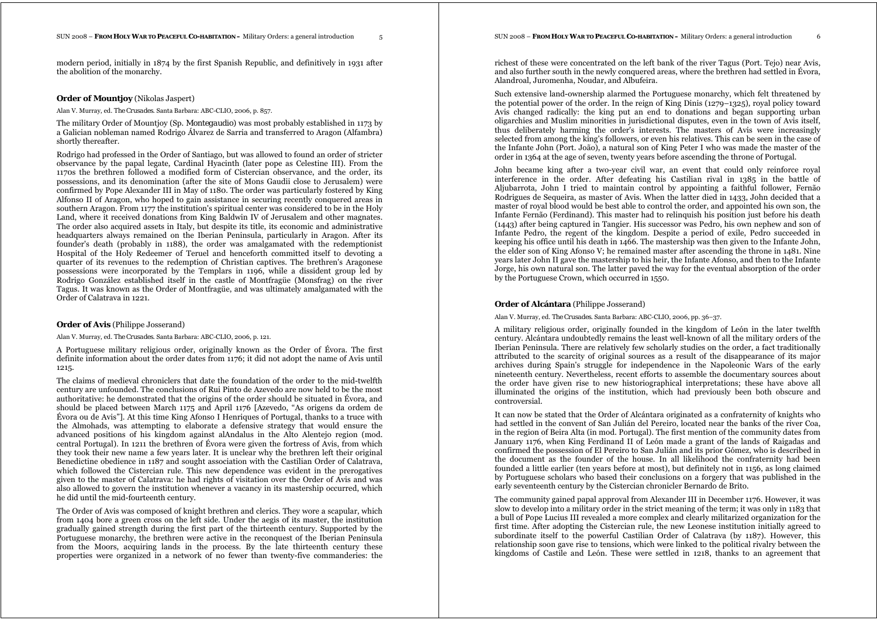modern period, initially in 1874 by the first Spanish Republic, and definitively in 1931 after the abolition of the monarchy.

## **Order of Mountjoy** (Nikolas Jaspert)

Alan V. Murray, ed. *The Crusades*. Santa Barbara: ABC-CLIO, 2006, p. 857.

The military Order of Mountjoy (Sp. *Montegaudio*) was most probably established in 1173 by a Galician nobleman named Rodrigo Álvarez de Sarria and transferred to Aragon (Alfambra) shortly thereafter.

Rodrigo had professed in the Order of Santiago, but was allowed to found an order of stricter observance by the papal legate, Cardinal Hyacinth (later pope as Celestine III). From the 1170s the brethren followed a modified form of Cistercian observance, and the order, its possessions, and its denomination (after the site of Mons Gaudii close to Jerusalem) were confirmed by Pope Alexander III in May of 1180. The order was particularly fostered by King Alfonso II of Aragon, who hoped to gain assistance in securing recently conquered areas in southern Aragon. From 1177 the institution's spiritual center was considered to be in the Holy Land, where it received donations from King Baldwin IV of Jerusalem and other magnates. The order also acquired assets in Italy, but despite its title, its economic and administrative headquarters always remained on the Iberian Peninsula, particularly in Aragon. After its founder's death (probably in 1188), the order was amalgamated with the redemptionist Hospital of the Holy Redeemer of Teruel and henceforth committed itself to devoting a quarter of its revenues to the redemption of Christian captives. The brethren's Aragonese possessions were incorporated by the Templars in 1196, while a dissident group led by Rodrigo González established itself in the castle of Montfragüe (Monsfrag) on the river Tagus. It was known as the Order of Montfragüe, and was ultimately amalgamated with the Order of Calatrava in 1221.

### **Order of Avis** (Philippe Josserand)

Alan V. Murray, ed. *The Crusades*. Santa Barbara: ABC-CLIO, 2006, p. 121.

A Portuguese military religious order, originally known as the Order of Évora. The first definite information about the order dates from 1176; it did not adopt the name of Avis until 1215.

The claims of medieval chroniclers that date the foundation of the order to the mid-twelfth century are unfounded. The conclusions of Rui Pinto de Azevedo are now held to be the most authoritative: he demonstrated that the origins of the order should be situated in Évora, and should be placed between March 1175 and April 1176 [Azevedo, "As origens da ordem de Évora ou de Avis"]. At this time King Afonso I Henriques of Portugal, thanks to a truce with the Almohads, was attempting to elaborate a defensive strategy that would ensure the advanced positions of his kingdom against alAndalus in the Alto Alentejo region (mod. central Portugal). In 1211 the brethren of Évora were given the fortress of Avis, from which they took their new name a few years later. It is unclear why the brethren left their original Benedictine obedience in 1187 and sought association with the Castilian Order of Calatrava, which followed the Cistercian rule. This new dependence was evident in the prerogatives given to the master of Calatrava: he had rights of visitation over the Order of Avis and was also allowed to govern the institution whenever a vacancy in its mastership occurred, which he did until the mid-fourteenth century.

The Order of Avis was composed of knight brethren and clerics. They wore a scapular, which from 1404 bore a green cross on the left side. Under the aegis of its master, the institution gradually gained strength during the first part of the thirteenth century. Supported by the Portuguese monarchy, the brethren were active in the reconquest of the Iberian Peninsula from the Moors, acquiring lands in the process. By the late thirteenth century these properties were organized in a network of no fewer than twenty-five commanderies: the richest of these were concentrated on the left bank of the river Tagus (Port. Tejo) near Avis, and also further south in the newly conquered areas, where the brethren had settled in Évora, Alandroal, Juromenha, Noudar, and Albufeira.

Such extensive land-ownership alarmed the Portuguese monarchy, which felt threatened by the potential power of the order. In the reign of King Dinis (1279–1325), royal policy toward Avis changed radically: the king put an end to donations and began supporting urban oligarchies and Muslim minorities in jurisdictional disputes, even in the town of Avis itself, thus deliberately harming the order's interests. The masters of Avis were increasingly selected from among the king's followers, or even his relatives. This can be seen in the case of the Infante John (Port. João), a natural son of King Peter I who was made the master of the order in 1364 at the age of seven, twenty years before ascending the throne of Portugal.

John became king after a two-year civil war, an event that could only reinforce royal interference in the order. After defeating his Castilian rival in 1385 in the battle of Aljubarrota, John I tried to maintain control by appointing a faithful follower, Fernão Rodrigues de Sequeira, as master of Avis. When the latter died in 1433, John decided that a master of royal blood would be best able to control the order, and appointed his own son, the Infante Fernão (Ferdinand). This master had to relinquish his position just before his death (1443) after being captured in Tangier. His successor was Pedro, his own nephew and son of Infante Pedro, the regent of the kingdom. Despite a period of exile, Pedro succeeded in keeping his office until his death in 1466. The mastership was then given to the Infante John, the elder son of King Afonso V; he remained master after ascending the throne in 1481. Nine years later John II gave the mastership to his heir, the Infante Afonso, and then to the Infante Jorge, his own natural son. The latter paved the way for the eventual absorption of the order by the Portuguese Crown, which occurred in 1550.

## **Order of Alcántara** (Philippe Josserand)

Alan V. Murray, ed. *The Crusades*. Santa Barbara: ABC-CLIO, 2006, pp. 36–37.

A military religious order, originally founded in the kingdom of León in the later twelfth century. Alcántara undoubtedly remains the least well-known of all the military orders of the Iberian Peninsula. There are relatively few scholarly studies on the order, a fact traditionally attributed to the scarcity of original sources as a result of the disappearance of its major archives during Spain's struggle for independence in the Napoleonic Wars of the early nineteenth century. Nevertheless, recent efforts to assemble the documentary sources about the order have given rise to new historiographical interpretations; these have above all illuminated the origins of the institution, which had previously been both obscure and controversial.

It can now be stated that the Order of Alcántara originated as a confraternity of knights who had settled in the convent of San Julián del Pereiro, located near the banks of the river Coa, in the region of Beira Alta (in mod. Portugal). The first mention of the community dates from January 1176, when King Ferdinand II of León made a grant of the lands of Raigadas and confirmed the possession of El Pereiro to San Julián and its prior Gómez, who is described in the document as the founder of the house. In all likelihood the confraternity had been founded a little earlier (ten years before at most), but definitely not in 1156, as long claimed by Portuguese scholars who based their conclusions on a forgery that was published in the early seventeenth century by the Cistercian chronicler Bernardo de Brito.

The community gained papal approval from Alexander III in December 1176. However, it was slow to develop into a military order in the strict meaning of the term; it was only in 1183 that a bull of Pope Lucius III revealed a more complex and clearly militarized organization for the first time. After adopting the Cistercian rule, the new Leonese institution initially agreed to subordinate itself to the powerful Castilian Order of Calatrava (by 1187). However, this relationship soon gave rise to tensions, which were linked to the political rivalry between the kingdoms of Castile and León. These were settled in 1218, thanks to an agreement that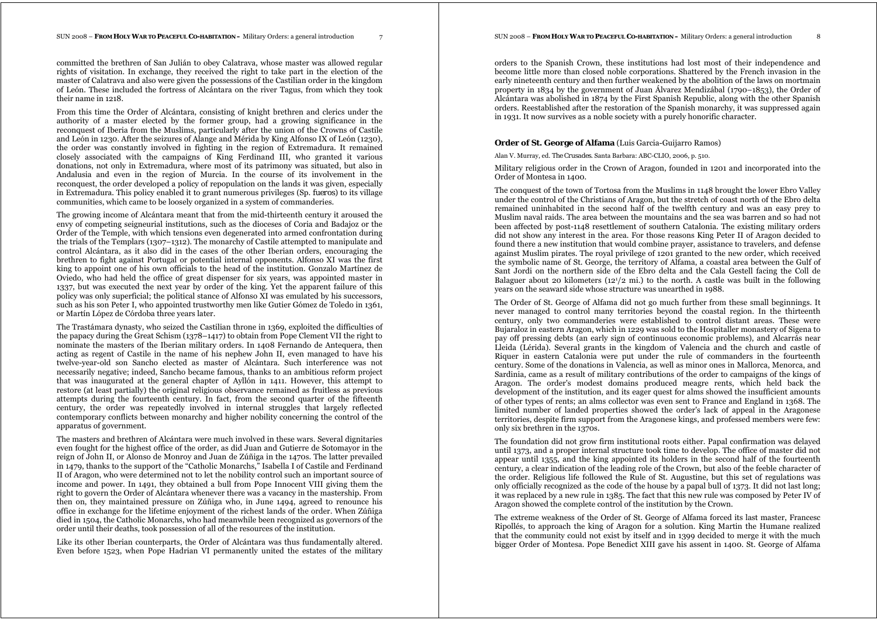committed the brethren of San Julián to obey Calatrava, whose master was allowed regular rights of visitation. In exchange, they received the right to take part in the election of the master of Calatrava and also were given the possessions of the Castilian order in the kingdom of León. These included the fortress of Alcántara on the river Tagus, from which they took their name in 1218.

From this time the Order of Alcántara, consisting of knight brethren and clerics under the authority of a master elected by the former group, had a growing significance in the reconquest of Iberia from the Muslims, particularly after the union of the Crowns of Castile and León in 1230. After the seizures of Alange and Mérida by King Alfonso IX of León (1230), the order was constantly involved in fighting in the region of Extremadura. It remained closely associated with the campaigns of King Ferdinand III, who granted it various donations, not only in Extremadura, where most of its patrimony was situated, but also in Andalusia and even in the region of Murcia. In the course of its involvement in the reconquest, the order developed a policy of repopulation on the lands it was given, especially in Extremadura. This policy enabled it to grant numerous privileges (Sp. *fueros*) to its village communities, which came to be loosely organized in a system of commanderies.

The growing income of Alcántara meant that from the mid-thirteenth century it aroused the envy of competing seigneurial institutions, such as the dioceses of Coria and Badajoz or the Order of the Temple, with which tensions even degenerated into armed confrontation during the trials of the Templars (1307–1312). The monarchy of Castile attempted to manipulate and control Alcántara, as it also did in the cases of the other Iberian orders, encouraging the brethren to fight against Portugal or potential internal opponents. Alfonso XI was the first king to appoint one of his own officials to the head of the institution. Gonzalo Martínez de Oviedo, who had held the office of great dispenser for six years, was appointed master in 1337, but was executed the next year by order of the king. Yet the apparent failure of this policy was only superficial; the political stance of Alfonso XI was emulated by his successors, such as his son Peter I, who appointed trustworthy men like Gutier Gómez de Toledo in 1361, or Martín López de Córdoba three years later.

The Trastámara dynasty, who seized the Castilian throne in 1369, exploited the difficulties of the papacy during the Great Schism (1378–1417) to obtain from Pope Clement VII the right to nominate the masters of the Iberian military orders. In 1408 Fernando de Antequera, then acting as regent of Castile in the name of his nephew John II, even managed to have his twelve-year-old son Sancho elected as master of Alcántara. Such interference was not necessarily negative; indeed, Sancho became famous, thanks to an ambitious reform project that was inaugurated at the general chapter of Ayllón in 1411. However, this attempt to restore (at least partially) the original religious observance remained as fruitless as previous attempts during the fourteenth century. In fact, from the second quarter of the fifteenth century, the order was repeatedly involved in internal struggles that largely reflected contemporary conflicts between monarchy and higher nobility concerning the control of the apparatus of government.

The masters and brethren of Alcántara were much involved in these wars. Several dignitaries even fought for the highest office of the order, as did Juan and Gutierre de Sotomayor in the reign of John II, or Alonso de Monroy and Juan de Zúñiga in the 1470s. The latter prevailed in 1479, thanks to the support of the "Catholic Monarchs," Isabella I of Castile and Ferdinand II of Aragon, who were determined not to let the nobility control such an important source of income and power. In 1491, they obtained a bull from Pope Innocent VIII giving them the right to govern the Order of Alcántara whenever there was a vacancy in the mastership. From then on, they maintained pressure on Zúñiga who, in June 1494, agreed to renounce his office in exchange for the lifetime enjoyment of the richest lands of the order. When Zúñiga died in 1504, the Catholic Monarchs, who had meanwhile been recognized as governors of the order until their deaths, took possession of all of the resources of the institution.

Like its other Iberian counterparts, the Order of Alcántara was thus fundamentally altered. Even before 1523, when Pope Hadrian VI permanently united the estates of the military orders to the Spanish Crown, these institutions had lost most of their independence and become little more than closed noble corporations. Shattered by the French invasion in the early nineteenth century and then further weakened by the abolition of the laws on mortmain property in 1834 by the government of Juan Álvarez Mendizábal (1790–1853), the Order of Alcántara was abolished in 1874 by the First Spanish Republic, along with the other Spanish orders. Reestablished after the restoration of the Spanish monarchy, it was suppressed again in 1931. It now survives as a noble society with a purely honorific character.

#### **Order of St. George of Alfama** (Luis Garcia-Guijarro Ramos)

Alan V. Murray, ed. *The Crusades*. Santa Barbara: ABC-CLIO, 2006, p. 510.

Military religious order in the Crown of Aragon, founded in 1201 and incorporated into the Order of Montesa in 1400.

The conquest of the town of Tortosa from the Muslims in 1148 brought the lower Ebro Valley under the control of the Christians of Aragon, but the stretch of coast north of the Ebro delta remained uninhabited in the second half of the twelfth century and was an easy prey to Muslim naval raids. The area between the mountains and the sea was barren and so had not been affected by post-1148 resettlement of southern Catalonia. The existing military orders did not show any interest in the area. For those reasons King Peter II of Aragon decided to found there a new institution that would combine prayer, assistance to travelers, and defense against Muslim pirates. The royal privilege of 1201 granted to the new order, which received the symbolic name of St. George, the territory of Alfama, a coastal area between the Gulf of Sant Jordi on the northern side of the Ebro delta and the Cala Gestell facing the Coll de Balaguer about 20 kilometers  $(12^{1/2} \text{ mi.})$  to the north. A castle was built in the following years on the seaward side whose structure was unearthed in 1988.

The Order of St. George of Alfama did not go much further from these small beginnings. It never managed to control many territories beyond the coastal region. In the thirteenth century, only two commanderies were established to control distant areas. These were Bujaraloz in eastern Aragon, which in 1229 was sold to the Hospitaller monastery of Sigena to pay off pressing debts (an early sign of continuous economic problems), and Alcarrás near Lleida (Lérida). Several grants in the kingdom of Valencia and the church and castle of Riquer in eastern Catalonia were put under the rule of commanders in the fourteenth century. Some of the donations in Valencia, as well as minor ones in Mallorca, Menorca, and Sardinia, came as a result of military contributions of the order to campaigns of the kings of Aragon. The order's modest domains produced meagre rents, which held back the development of the institution, and its eager quest for alms showed the insufficient amounts of other types of rents; an alms collector was even sent to France and England in 1368. The limited number of landed properties showed the order's lack of appeal in the Aragonese territories, despite firm support from the Aragonese kings, and professed members were few: only six brethren in the 1370s.

The foundation did not grow firm institutional roots either. Papal confirmation was delayed until 1373, and a proper internal structure took time to develop. The office of master did not appear until 1355, and the king appointed its holders in the second half of the fourteenth century, a clear indication of the leading role of the Crown, but also of the feeble character of the order. Religious life followed the Rule of St. Augustine, but this set of regulations was only officially recognized as the code of the house by a papal bull of 1373. It did not last long; it was replaced by a new rule in 1385. The fact that this new rule was composed by Peter IV of Aragon showed the complete control of the institution by the Crown.

The extreme weakness of the Order of St. George of Alfama forced its last master, Francesc Ripollés, to approach the king of Aragon for a solution. King Martin the Humane realized that the community could not exist by itself and in 1399 decided to merge it with the much bigger Order of Montesa. Pope Benedict XIII gave his assent in 1400. St. George of Alfama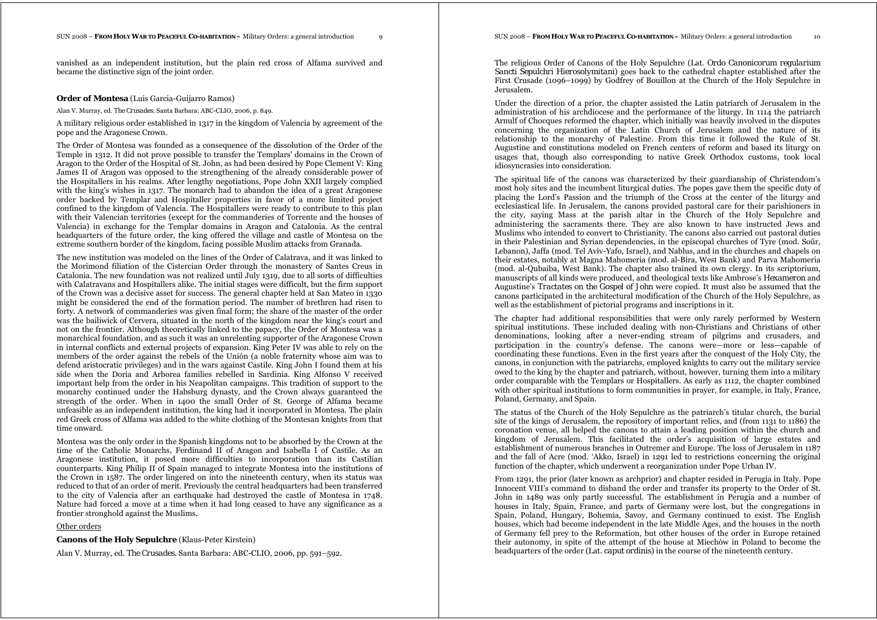vanished as an independent institution, but the plain red cross of Alfama survived and became the distinctive sign of the joint order.

### **Order of Montesa** (Luis Garcia-Guijarro Ramos)

Alan V. Murray, ed. *The Crusades*. Santa Barbara: ABC-CLIO, 2006, p. 849.

A military religious order established in 1317 in the kingdom of Valencia by agreement of the pope and the Aragonese Crown.

The Order of Montesa was founded as a consequence of the dissolution of the Order of the Temple in 1312. It did not prove possible to transfer the Templars' domains in the Crown of Aragon to the Order of the Hospital of St. John, as had been desired by Pope Clement V: King James II of Aragon was opposed to the strengthening of the already considerable power of the Hospitallers in his realms. After lengthy negotiations, Pope John XXII largely complied with the king's wishes in 1317. The monarch had to abandon the idea of a great Aragonese order backed by Templar and Hospitaller properties in favor of a more limited project confined to the kingdom of Valencia. The Hospitallers were ready to contribute to this plan with their Valencian territories (except for the commanderies of Torrente and the houses of Valencia) in exchange for the Templar domains in Aragon and Catalonia. As the central headquarters of the future order, the king offered the village and castle of Montesa on the extreme southern border of the kingdom, facing possible Muslim attacks from Granada.

The new institution was modeled on the lines of the Order of Calatrava, and it was linked to the Morimond filiation of the Cistercian Order through the monastery of Santes Creus in Catalonia. The new foundation was not realized until July 1319, due to all sorts of difficulties with Calatravans and Hospitallers alike. The initial stages were difficult, but the firm support of the Crown was a decisive asset for success. The general chapter held at San Mateo in 1330 might be considered the end of the formation period. The number of brethren had risen to forty. A network of commanderies was given final form; the share of the master of the order was the bailiwick of Cervera, situated in the north of the kingdom near the king's court and not on the frontier. Although theoretically linked to the papacy, the Order of Montesa was a monarchical foundation, and as such it was an unrelenting supporter of the Aragonese Crown in internal conflicts and external projects of expansion. King Peter IV was able to rely on the members of the order against the rebels of the Unión (a noble fraternity whose aim was to defend aristocratic privileges) and in the wars against Castile. King John I found them at his side when the Doria and Arborea families rebelled in Sardinia. King Alfonso V received important help from the order in his Neapolitan campaigns. This tradition of support to the monarchy continued under the Habsburg dynasty, and the Crown always guaranteed the strength of the order. When in 1400 the small Order of St. George of Alfama became unfeasible as an independent institution, the king had it incorporated in Montesa. The plain red Greek cross of Alfama was added to the white clothing of the Montesan knights from that time onward.

Montesa was the only order in the Spanish kingdoms not to be absorbed by the Crown at the time of the Catholic Monarchs, Ferdinand II of Aragon and Isabella I of Castile. As an Aragonese institution, it posed more difficulties to incorporation than its Castilian counterparts. King Philip II of Spain managed to integrate Montesa into the institutions of the Crown in 1587. The order lingered on into the nineteenth century, when its status was reduced to that of an order of merit. Previously the central headquarters had been transferred to the city of Valencia after an earthquake had destroyed the castle of Montesa in 1748. Nature had forced a move at a time when it had long ceased to have any significance as a frontier stronghold against the Muslims.

# Other orders

## **Canons of the Holy Sepulchre** (Klaus-Peter Kirstein)

Alan V. Murray, ed. *The Crusades*. Santa Barbara: ABC-CLIO, 2006, pp. 591–592.

The religious Order of Canons of the Holy Sepulchre (Lat. *Ordo Canonicorum regularium Sancti Sepulchri Hierosolymitani*) goes back to the cathedral chapter established after the First Crusade (1096–1099) by Godfrey of Bouillon at the Church of the Holy Sepulchre in Jerusalem.

Under the direction of a prior, the chapter assisted the Latin patriarch of Jerusalem in the administration of his archdiocese and the performance of the liturgy. In 1114 the patriarch Arnulf of Chocques reformed the chapter, which initially was heavily involved in the disputes concerning the organization of the Latin Church of Jerusalem and the nature of its relationship to the monarchy of Palestine. From this time it followed the Rule of St. Augustine and constitutions modeled on French centers of reform and based its liturgy on usages that, though also corresponding to native Greek Orthodox customs, took local idiosyncrasies into consideration.

The spiritual life of the canons was characterized by their guardianship of Christendom's most holy sites and the incumbent liturgical duties. The popes gave them the specific duty of placing the Lord's Passion and the triumph of the Cross at the center of the liturgy and ecclesiastical life. In Jerusalem, the canons provided pastoral care for their parishioners in the city, saying Mass at the parish altar in the Church of the Holy Sepulchre and administering the sacraments there. They are also known to have instructed Jews and Muslims who intended to convert to Christianity. The canons also carried out pastoral duties in their Palestinian and Syrian dependencies, in the episcopal churches of Tyre (mod. Soûr, Lebanon), Jaffa (mod. Tel Aviv-Yafo, Israel), and Nablus, and in the churches and chapels on their estates, notably at Magna Mahomeria (mod. al-Bira, West Bank) and Parva Mahomeria (mod. al-Qubaiba, West Bank). The chapter also trained its own clergy. In its scriptorium, manuscripts of all kinds were produced, and theological texts like Ambrose's *Hexameron* and Augustine's *Tractates on the Gospel of John* were copied. It must also be assumed that the canons participated in the architectural modification of the Church of the Holy Sepulchre, as well as the establishment of pictorial programs and inscriptions in it.

The chapter had additional responsibilities that were only rarely performed by Western spiritual institutions. These included dealing with non-Christians and Christians of other denominations, looking after a never-ending stream of pilgrims and crusaders, and participation in the country's defense. The canons were—more or less—capable of coordinating these functions. Even in the first years after the conquest of the Holy City, the canons, in conjunction with the patriarchs, employed knights to carry out the military service owed to the king by the chapter and patriarch, without, however, turning them into a military order comparable with the Templars or Hospitallers. As early as 1112, the chapter combined with other spiritual institutions to form communities in prayer, for example, in Italy, France, Poland, Germany, and Spain.

The status of the Church of the Holy Sepulchre as the patriarch's titular church, the burial site of the kings of Jerusalem, the repository of important relics, and (from 1131 to 1186) the coronation venue, all helped the canons to attain a leading position within the church and kingdom of Jerusalem. This facilitated the order's acquisition of large estates and establishment of numerous branches in Outremer and Europe. The loss of Jerusalem in 1187 and the fall of Acre (mod. 'Akko, Israel) in 1291 led to restrictions concerning the original function of the chapter, which underwent a reorganization under Pope Urban IV.

From 1291, the prior (later known as archprior) and chapter resided in Perugia in Italy. Pope Innocent VIII's command to disband the order and transfer its property to the Order of St. John in 1489 was only partly successful. The establishment in Perugia and a number of houses in Italy, Spain, France, and parts of Germany were lost, but the congregations in Spain, Poland, Hungary, Bohemia, Savoy, and Germany continued to exist. The English houses, which had become independent in the late Middle Ages, and the houses in the north of Germany fell prey to the Reformation, but other houses of the order in Europe retained their autonomy, in spite of the attempt of the house at Miechów in Poland to become the headquarters of the order (Lat. *caput ordinis*) in the course of the nineteenth century.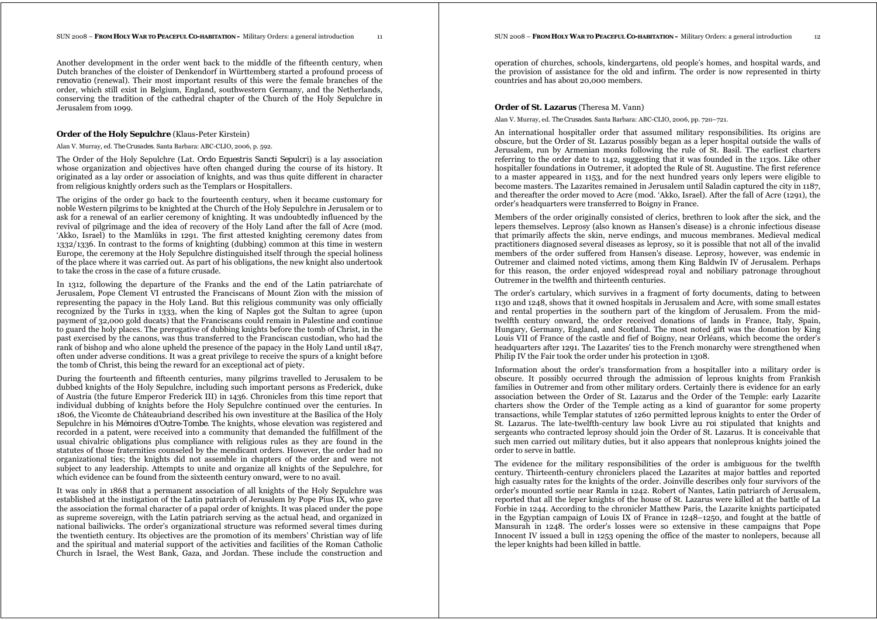Another development in the order went back to the middle of the fifteenth century, when Dutch branches of the cloister of Denkendorf in Württemberg started a profound process of *renovatio* (renewal). Their most important results of this were the female branches of the order, which still exist in Belgium, England, southwestern Germany, and the Netherlands, conserving the tradition of the cathedral chapter of the Church of the Holy Sepulchre in Jerusalem from 1099.

## **Order of the Holy Sepulchre** (Klaus-Peter Kirstein)

# Alan V. Murray, ed. *The Crusades*. Santa Barbara: ABC-CLIO, 2006, p. 592.

The Order of the Holy Sepulchre (Lat. *Ordo Equestris Sancti Sepulcri*) is a lay association whose organization and objectives have often changed during the course of its history. It originated as a lay order or association of knights, and was thus quite different in character from religious knightly orders such as the Templars or Hospitallers.

The origins of the order go back to the fourteenth century, when it became customary for noble Western pilgrims to be knighted at the Church of the Holy Sepulchre in Jerusalem or to ask for a renewal of an earlier ceremony of knighting. It was undoubtedly influenced by the revival of pilgrimage and the idea of recovery of the Holy Land after the fall of Acre (mod. 'Akko, Israel) to the Mamlūks in 1291. The first attested knighting ceremony dates from 1332/1336. In contrast to the forms of knighting (dubbing) common at this time in western Europe, the ceremony at the Holy Sepulchre distinguished itself through the special holiness of the place where it was carried out. As part of his obligations, the new knight also undertook to take the cross in the case of a future crusade.

In 1312, following the departure of the Franks and the end of the Latin patriarchate of Jerusalem, Pope Clement VI entrusted the Franciscans of Mount Zion with the mission of representing the papacy in the Holy Land. But this religious community was only officially recognized by the Turks in 1333, when the king of Naples got the Sultan to agree (upon payment of 32,000 gold ducats) that the Franciscans could remain in Palestine and continue to guard the holy places. The prerogative of dubbing knights before the tomb of Christ, in the past exercised by the canons, was thus transferred to the Franciscan custodian, who had the rank of bishop and who alone upheld the presence of the papacy in the Holy Land until 1847, often under adverse conditions. It was a great privilege to receive the spurs of a knight before the tomb of Christ, this being the reward for an exceptional act of piety.

During the fourteenth and fifteenth centuries, many pilgrims travelled to Jerusalem to be dubbed knights of the Holy Sepulchre, including such important persons as Frederick, duke of Austria (the future Emperor Frederick III) in 1436. Chronicles from this time report that individual dubbing of knights before the Holy Sepulchre continued over the centuries. In 1806, the Vicomte de Châteaubriand described his own investiture at the Basilica of the Holy Sepulchre in his *Mémoires d'Outre-Tombe.* The knights, whose elevation was registered and recorded in a patent, were received into a community that demanded the fulfillment of the usual chivalric obligations plus compliance with religious rules as they are found in the statutes of those fraternities counseled by the mendicant orders. However, the order had no organizational ties; the knights did not assemble in chapters of the order and were not subject to any leadership. Attempts to unite and organize all knights of the Sepulchre, for which evidence can be found from the sixteenth century onward, were to no avail.

It was only in 1868 that a permanent association of all knights of the Holy Sepulchre was established at the instigation of the Latin patriarch of Jerusalem by Pope Pius IX, who gave the association the formal character of a papal order of knights. It was placed under the pope as supreme sovereign, with the Latin patriarch serving as the actual head, and organized in national bailiwicks. The order's organizational structure was reformed several times during the twentieth century. Its objectives are the promotion of its members' Christian way of life and the spiritual and material support of the activities and facilities of the Roman Catholic Church in Israel, the West Bank, Gaza, and Jordan. These include the construction and

operation of churches, schools, kindergartens, old people's homes, and hospital wards, and the provision of assistance for the old and infirm. The order is now represented in thirty countries and has about 20,000 members.

### **Order of St. Lazarus** (Theresa M. Vann)

Alan V. Murray, ed. *The Crusades*. Santa Barbara: ABC-CLIO, 2006, pp. 720–721.

An international hospitaller order that assumed military responsibilities. Its origins are obscure, but the Order of St. Lazarus possibly began as a leper hospital outside the walls of Jerusalem, run by Armenian monks following the rule of St. Basil. The earliest charters referring to the order date to 1142, suggesting that it was founded in the 1130s. Like other hospitaller foundations in Outremer, it adopted the Rule of St. Augustine. The first reference to a master appeared in 1153, and for the next hundred years only lepers were eligible to become masters. The Lazarites remained in Jerusalem until Saladin captured the city in 1187, and thereafter the order moved to Acre (mod. 'Akko, Israel). After the fall of Acre (1291), the order's headquarters were transferred to Boigny in France.

Members of the order originally consisted of clerics, brethren to look after the sick, and the lepers themselves. Leprosy (also known as Hansen's disease) is a chronic infectious disease that primarily affects the skin, nerve endings, and mucous membranes. Medieval medical practitioners diagnosed several diseases as leprosy, so it is possible that not all of the invalid members of the order suffered from Hansen's disease. Leprosy, however, was endemic in Outremer and claimed noted victims, among them King Baldwin IV of Jerusalem. Perhaps for this reason, the order enjoyed widespread royal and nobiliary patronage throughout Outremer in the twelfth and thirteenth centuries.

The order's cartulary, which survives in a fragment of forty documents, dating to between 1130 and 1248, shows that it owned hospitals in Jerusalem and Acre, with some small estates and rental properties in the southern part of the kingdom of Jerusalem. From the midtwelfth century onward, the order received donations of lands in France, Italy, Spain, Hungary, Germany, England, and Scotland. The most noted gift was the donation by King Louis VII of France of the castle and fief of Boigny, near Orléans, which become the order's headquarters after 1291. The Lazarites' ties to the French monarchy were strengthened when Philip IV the Fair took the order under his protection in 1308.

Information about the order's transformation from a hospitaller into a military order is obscure. It possibly occurred through the admission of leprous knights from Frankish families in Outremer and from other military orders. Certainly there is evidence for an early association between the Order of St. Lazarus and the Order of the Temple: early Lazarite charters show the Order of the Temple acting as a kind of guarantor for some property transactions, while Templar statutes of 1260 permitted leprous knights to enter the Order of St. Lazarus. The late-twelfth-century law book *Livre au roi* stipulated that knights and sergeants who contracted leprosy should join the Order of St. Lazarus. It is conceivable that such men carried out military duties, but it also appears that nonleprous knights joined the order to serve in battle.

The evidence for the military responsibilities of the order is ambiguous for the twelfth century. Thirteenth-century chroniclers placed the Lazarites at major battles and reported high casualty rates for the knights of the order. Joinville describes only four survivors of the order's mounted sortie near Ramla in 1242. Robert of Nantes, Latin patriarch of Jerusalem, reported that all the leper knights of the house of St. Lazarus were killed at the battle of La Forbie in 1244. According to the chronicler Matthew Paris, the Lazarite knights participated in the Egyptian campaign of Louis IX of France in 1248–1250, and fought at the battle of Mansurah in 1248. The order's losses were so extensive in these campaigns that Pope Innocent IV issued a bull in 1253 opening the office of the master to nonlepers, because all the leper knights had been killed in battle.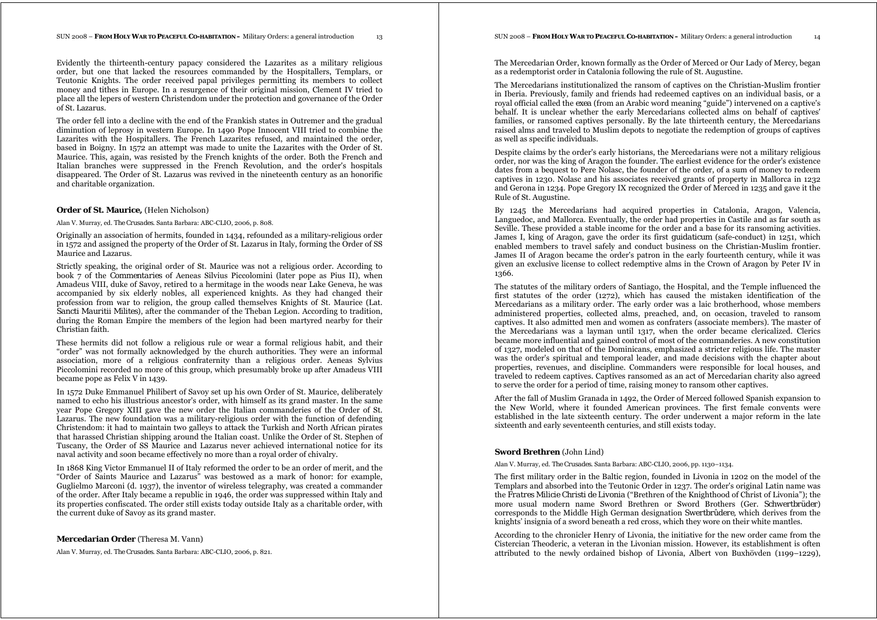Evidently the thirteenth-century papacy considered the Lazarites as a military religious order, but one that lacked the resources commanded by the Hospitallers, Templars, or Teutonic Knights. The order received papal privileges permitting its members to collect money and tithes in Europe. In a resurgence of their original mission, Clement IV tried to place all the lepers of western Christendom under the protection and governance of the Order of St. Lazarus.

The order fell into a decline with the end of the Frankish states in Outremer and the gradual diminution of leprosy in western Europe. In 1490 Pope Innocent VIII tried to combine the Lazarites with the Hospitallers. The French Lazarites refused, and maintained the order, based in Boigny. In 1572 an attempt was made to unite the Lazarites with the Order of St. Maurice. This, again, was resisted by the French knights of the order. Both the French and Italian branches were suppressed in the French Revolution, and the order's hospitals disappeared. The Order of St. Lazarus was revived in the nineteenth century as an honorific and charitable organization.

### **Order of St. Maurice,** (Helen Nicholson)

Alan V. Murray, ed. *The Crusades*. Santa Barbara: ABC-CLIO, 2006, p. 808.

Originally an association of hermits, founded in 1434, refounded as a military-religious order in 1572 and assigned the property of the Order of St. Lazarus in Italy, forming the Order of SS Maurice and Lazarus.

Strictly speaking, the original order of St. Maurice was not a religious order. According to book 7 of the *Commentaries* of Aeneas Silvius Piccolomini (later pope as Pius II), when Amadeus VIII, duke of Savoy, retired to a hermitage in the woods near Lake Geneva, he was accompanied by six elderly nobles, all experienced knights. As they had changed their profession from war to religion, the group called themselves Knights of St. Maurice (Lat. *Sancti Mauritii Milites*), after the commander of the Theban Legion. According to tradition, during the Roman Empire the members of the legion had been martyred nearby for their Christian faith.

These hermits did not follow a religious rule or wear a formal religious habit, and their "order" was not formally acknowledged by the church authorities. They were an informal association, more of a religious confraternity than a religious order. Aeneas Sylvius Piccolomini recorded no more of this group, which presumably broke up after Amadeus VIII became pope as Felix V in 1439.

In 1572 Duke Emmanuel Philibert of Savoy set up his own Order of St. Maurice, deliberately named to echo his illustrious ancestor's order, with himself as its grand master. In the same year Pope Gregory XIII gave the new order the Italian commanderies of the Order of St. Lazarus. The new foundation was a military-religious order with the function of defending Christendom: it had to maintain two galleys to attack the Turkish and North African pirates that harassed Christian shipping around the Italian coast. Unlike the Order of St. Stephen of Tuscany, the Order of SS Maurice and Lazarus never achieved international notice for its naval activity and soon became effectively no more than a royal order of chivalry.

In 1868 King Victor Emmanuel II of Italy reformed the order to be an order of merit, and the "Order of Saints Maurice and Lazarus" was bestowed as a mark of honor: for example, Guglielmo Marconi (d. 1937), the inventor of wireless telegraphy, was created a commander of the order. After Italy became a republic in 1946, the order was suppressed within Italy and its properties confiscated. The order still exists today outside Italy as a charitable order, with the current duke of Savoy as its grand master.

### **Mercedarian Order** (Theresa M. Vann)

Alan V. Murray, ed. *The Crusades*. Santa Barbara: ABC-CLIO, 2006, p. 821.

The Mercedarian Order, known formally as the Order of Merced or Our Lady of Mercy, began as a redemptorist order in Catalonia following the rule of St. Augustine.

The Mercedarians institutionalized the ransom of captives on the Christian-Muslim frontier in Iberia. Previously, family and friends had redeemed captives on an individual basis, or a royal official called the *exea* (from an Arabic word meaning "guide") intervened on a captive's behalf. It is unclear whether the early Mercedarians collected alms on behalf of captives' families, or ransomed captives personally. By the late thirteenth century, the Mercedarians raised alms and traveled to Muslim depots to negotiate the redemption of groups of captives as well as specific individuals.

Despite claims by the order's early historians, the Mercedarians were not a military religious order, nor was the king of Aragon the founder. The earliest evidence for the order's existence dates from a bequest to Pere Nolasc, the founder of the order, of a sum of money to redeem captives in 1230. Nolasc and his associates received grants of property in Mallorca in 1232 and Gerona in 1234. Pope Gregory IX recognized the Order of Merced in 1235 and gave it the Rule of St. Augustine.

By 1245 the Mercedarians had acquired properties in Catalonia, Aragon, Valencia, Languedoc, and Mallorca. Eventually, the order had properties in Castile and as far south as Seville. These provided a stable income for the order and a base for its ransoming activities. James I, king of Aragon, gave the order its first *guidaticum* (safe-conduct) in 1251, which enabled members to travel safely and conduct business on the Christian-Muslim frontier. James II of Aragon became the order's patron in the early fourteenth century, while it was given an exclusive license to collect redemptive alms in the Crown of Aragon by Peter IV in 1366.

The statutes of the military orders of Santiago, the Hospital, and the Temple influenced the first statutes of the order (1272), which has caused the mistaken identification of the Mercedarians as a military order. The early order was a laic brotherhood, whose members administered properties, collected alms, preached, and, on occasion, traveled to ransom captives. It also admitted men and women as confraters (associate members). The master of the Mercedarians was a layman until 1317, when the order became clericalized. Clerics became more influential and gained control of most of the commanderies. A new constitution of 1327, modeled on that of the Dominicans, emphasized a stricter religious life. The master was the order's spiritual and temporal leader, and made decisions with the chapter about properties, revenues, and discipline. Commanders were responsible for local houses, and traveled to redeem captives. Captives ransomed as an act of Mercedarian charity also agreed to serve the order for a period of time, raising money to ransom other captives.

After the fall of Muslim Granada in 1492, the Order of Merced followed Spanish expansion to the New World, where it founded American provinces. The first female convents were established in the late sixteenth century. The order underwent a major reform in the late sixteenth and early seventeenth centuries, and still exists today.

#### **Sword Brethren** (John Lind)

Alan V. Murray, ed. *The Crusades*. Santa Barbara: ABC-CLIO, 2006, pp. 1130–1134.

The first military order in the Baltic region, founded in Livonia in 1202 on the model of the Templars and absorbed into the Teutonic Order in 1237. The order's original Latin name was the *Fratres Milicie Christi de Livonia* ("Brethren of the Knighthood of Christ of Livonia"); the more usual modern name Sword Brethren or Sword Brothers (Ger. *Schwertbrüder*) corresponds to the Middle High German designation *Swertbrûdere,* which derives from the knights' insignia of a sword beneath a red cross, which they wore on their white mantles.

According to the chronicler Henry of Livonia, the initiative for the new order came from the Cistercian Theoderic, a veteran in the Livonian mission. However, its establishment is often attributed to the newly ordained bishop of Livonia, Albert von Buxhövden (1199–1229),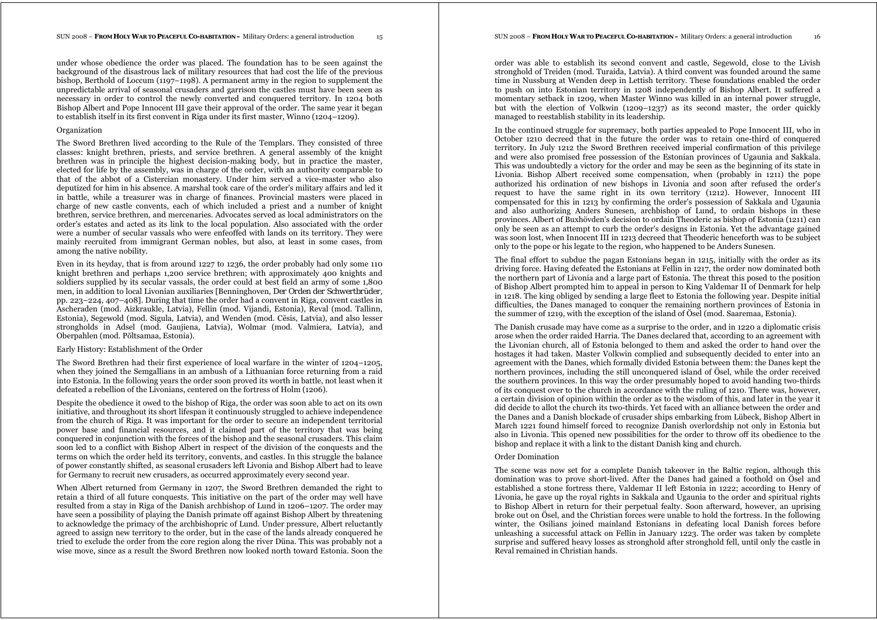under whose obedience the order was placed. The foundation has to be seen against the background of the disastrous lack of military resources that had cost the life of the previous bishop, Berthold of Loccum (1197–1198). A permanent army in the region to supplement the unpredictable arrival of seasonal crusaders and garrison the castles must have been seen as necessary in order to control the newly converted and conquered territory. In 1204 both Bishop Albert and Pope Innocent III gave their approval of the order. The same year it began to establish itself in its first convent in Riga under its first master, Winno (1204–1209).

#### Organization

The Sword Brethren lived according to the Rule of the Templars. They consisted of three classes: knight brethren, priests, and service brethren. A general assembly of the knight brethren was in principle the highest decision-making body, but in practice the master, elected for life by the assembly, was in charge of the order, with an authority comparable to that of the abbot of a Cistercian monastery. Under him served a vice-master who also deputized for him in his absence. A marshal took care of the order's military affairs and led it in battle, while a treasurer was in charge of finances. Provincial masters were placed in charge of new castle convents, each of which included a priest and a number of knight brethren, service brethren, and mercenaries. Advocates served as local administrators on the order's estates and acted as its link to the local population. Also associated with the order were a number of secular vassals who were enfeoffed with lands on its territory. They were mainly recruited from immigrant German nobles, but also, at least in some cases, from among the native nobility.

Even in its heyday, that is from around 1227 to 1236, the order probably had only some 110 knight brethren and perhaps 1,200 service brethren; with approximately 400 knights and soldiers supplied by its secular vassals, the order could at best field an army of some 1,800 men, in addition to local Livonian auxiliaries [Benninghoven, *Der Orden der Schwertbrüder,* pp. 223–224, 407–408]. During that time the order had a convent in Riga, convent castles in Ascheraden (mod. Aizkraukle, Latvia), Fellin (mod. Vijandi, Estonia), Reval (mod. Tallinn, Estonia), Segewold (mod. Sigula, Latvia), and Wenden (mod. Cēsis, Latvia), and also lesser strongholds in Adsel (mod. Gaujiena, Latvia), Wolmar (mod. Valmiera, Latvia), and Oberpahlen (mod. Põltsamaa, Estonia).

# Early History: Establishment of the Order

The Sword Brethren had their first experience of local warfare in the winter of 1204–1205, when they joined the Semgallians in an ambush of a Lithuanian force returning from a raid into Estonia. In the following years the order soon proved its worth in battle, not least when it defeated a rebellion of the Livonians, centered on the fortress of Holm (1206).

Despite the obedience it owed to the bishop of Riga, the order was soon able to act on its own initiative, and throughout its short lifespan it continuously struggled to achieve independence from the church of Riga. It was important for the order to secure an independent territorial power base and financial resources, and it claimed part of the territory that was being conquered in conjunction with the forces of the bishop and the seasonal crusaders. This claim soon led to a conflict with Bishop Albert in respect of the division of the conquests and the terms on which the order held its territory, convents, and castles. In this struggle the balance of power constantly shifted, as seasonal crusaders left Livonia and Bishop Albert had to leave for Germany to recruit new crusaders, as occurred approximately every second year.

When Albert returned from Germany in 1207, the Sword Brethren demanded the right to retain a third of all future conquests. This initiative on the part of the order may well have resulted from a stay in Riga of the Danish archbishop of Lund in 1206–1207. The order may have seen a possibility of playing the Danish primate off against Bishop Albert by threatening to acknowledge the primacy of the archbishopric of Lund. Under pressure, Albert reluctantly agreed to assign new territory to the order, but in the case of the lands already conquered he tried to exclude the order from the core region along the river Düna. This was probably not a wise move, since as a result the Sword Brethren now looked north toward Estonia. Soon the order was able to establish its second convent and castle, Segewold, close to the Livish stronghold of Treiden (mod. Turaida, Latvia). A third convent was founded around the same time in Nussburg at Wenden deep in Lettish territory. These foundations enabled the order to push on into Estonian territory in 1208 independently of Bishop Albert. It suffered a momentary setback in 1209, when Master Winno was killed in an internal power struggle, but with the election of Volkwin (1209–1237) as its second master, the order quickly managed to reestablish stability in its leadership.

In the continued struggle for supremacy, both parties appealed to Pope Innocent III, who in October 1210 decreed that in the future the order was to retain one-third of conquered territory. In July 1212 the Sword Brethren received imperial confirmation of this privilege and were also promised free possession of the Estonian provinces of Ugaunia and Sakkala. This was undoubtedly a victory for the order and may be seen as the beginning of its state in Livonia. Bishop Albert received some compensation, when (probably in 1211) the pope authorized his ordination of new bishops in Livonia and soon after refused the order's request to have the same right in its own territory (1212). However, Innocent III compensated for this in 1213 by confirming the order's possession of Sakkala and Ugaunia and also authorizing Anders Sunesen, archbishop of Lund, to ordain bishops in these provinces. Albert of Buxhövden's decision to ordain Theoderic as bishop of Estonia (1211) can only be seen as an attempt to curb the order's designs in Estonia. Yet the advantage gained was soon lost, when Innocent III in 1213 decreed that Theoderic henceforth was to be subject only to the pope or his legate to the region, who happened to be Anders Sunesen.

The final effort to subdue the pagan Estonians began in 1215, initially with the order as its driving force. Having defeated the Estonians at Fellin in 1217, the order now dominated both the northern part of Livonia and a large part of Estonia. The threat this posed to the position of Bishop Albert prompted him to appeal in person to King Valdemar II of Denmark for help in 1218. The king obliged by sending a large fleet to Estonia the following year. Despite initial difficulties, the Danes managed to conquer the remaining northern provinces of Estonia in the summer of 1219, with the exception of the island of Ösel (mod. Saaremaa, Estonia).

The Danish crusade may have come as a surprise to the order, and in 1220 a diplomatic crisis arose when the order raided Harria. The Danes declared that, according to an agreement with the Livonian church, all of Estonia belonged to them and asked the order to hand over the hostages it had taken. Master Volkwin complied and subsequently decided to enter into an agreement with the Danes, which formally divided Estonia between them: the Danes kept the northern provinces, including the still unconquered island of Ösel, while the order received the southern provinces. In this way the order presumably hoped to avoid handing two-thirds of its conquest over to the church in accordance with the ruling of 1210. There was, however, a certain division of opinion within the order as to the wisdom of this, and later in the year it did decide to allot the church its two-thirds. Yet faced with an alliance between the order and the Danes and a Danish blockade of crusader ships embarking from Lübeck, Bishop Albert in March 1221 found himself forced to recognize Danish overlordship not only in Estonia but also in Livonia. This opened new possibilities for the order to throw off its obedience to the bishop and replace it with a link to the distant Danish king and church.

## Order Domination

The scene was now set for a complete Danish takeover in the Baltic region, although this domination was to prove short-lived. After the Danes had gained a foothold on Ösel and established a stone fortress there, Valdemar II left Estonia in 1222; according to Henry of Livonia, he gave up the royal rights in Sakkala and Ugaunia to the order and spiritual rights to Bishop Albert in return for their perpetual fealty. Soon afterward, however, an uprising broke out on Ösel, and the Christian forces were unable to hold the fortress. In the following winter, the Osilians joined mainland Estonians in defeating local Danish forces before unleashing a successful attack on Fellin in January 1223. The order was taken by complete surprise and suffered heavy losses as stronghold after stronghold fell, until only the castle in Reval remained in Christian hands.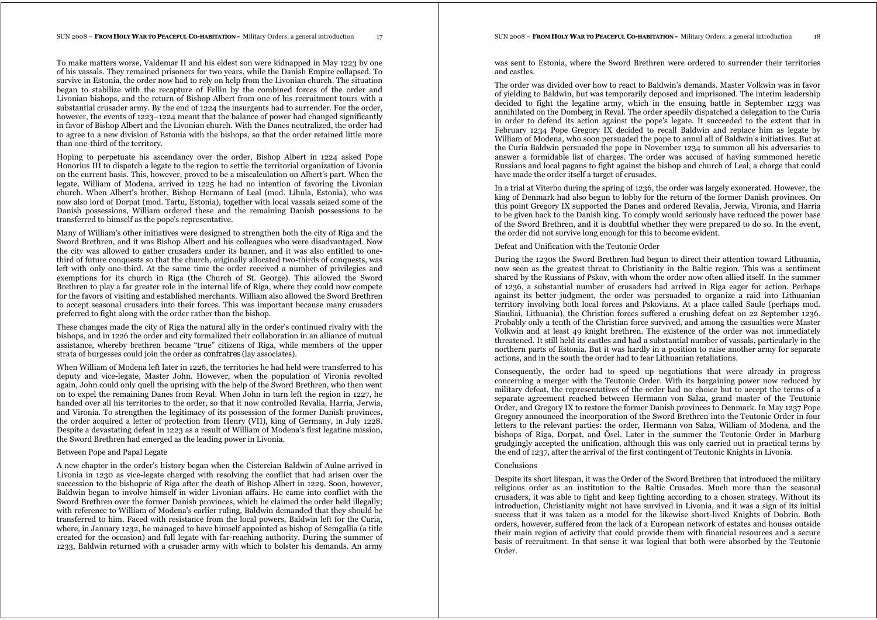To make matters worse, Valdemar II and his eldest son were kidnapped in May 1223 by one of his vassals. They remained prisoners for two years, while the Danish Empire collapsed. To survive in Estonia, the order now had to rely on help from the Livonian church. The situation began to stabilize with the recapture of Fellin by the combined forces of the order and Livonian bishops, and the return of Bishop Albert from one of his recruitment tours with a substantial crusader army. By the end of 1224 the insurgents had to surrender. For the order, however, the events of 1223–1224 meant that the balance of power had changed significantly in favor of Bishop Albert and the Livonian church. With the Danes neutralized, the order had to agree to a new division of Estonia with the bishops, so that the order retained little more than one-third of the territory.

Hoping to perpetuate his ascendancy over the order, Bishop Albert in 1224 asked Pope Honorius III to dispatch a legate to the region to settle the territorial organization of Livonia on the current basis. This, however, proved to be a miscalculation on Albert's part. When the legate, William of Modena, arrived in 1225 he had no intention of favoring the Livonian church. When Albert's brother, Bishop Hermann of Leal (mod. Lihula, Estonia), who was now also lord of Dorpat (mod. Tartu, Estonia), together with local vassals seized some of the Danish possessions, William ordered these and the remaining Danish possessions to be transferred to himself as the pope's representative.

Many of William's other initiatives were designed to strengthen both the city of Riga and the Sword Brethren, and it was Bishop Albert and his colleagues who were disadvantaged. Now the city was allowed to gather crusaders under its banner, and it was also entitled to onethird of future conquests so that the church, originally allocated two-thirds of conquests, was left with only one-third. At the same time the order received a number of privilegies and exemptions for its church in Riga (the Church of St. George). This allowed the Sword Brethren to play a far greater role in the internal life of Riga, where they could now compete for the favors of visiting and established merchants. William also allowed the Sword Brethren to accept seasonal crusaders into their forces. This was important because many crusaders preferred to fight along with the order rather than the bishop.

These changes made the city of Riga the natural ally in the order's continued rivalry with the bishops, and in 1226 the order and city formalized their collaboration in an alliance of mutual assistance, whereby brethren became "true" citizens of Riga, while members of the upper strata of burgesses could join the order as *confratres* (lay associates).

When William of Modena left later in 1226, the territories he had held were transferred to his deputy and vice-legate, Master John. However, when the population of Vironia revolted again, John could only quell the uprising with the help of the Sword Brethren, who then went on to expel the remaining Danes from Reval. When John in turn left the region in 1227, he handed over all his territories to the order, so that it now controlled Revalia, Harria, Jerwia, and Vironia. To strengthen the legitimacy of its possession of the former Danish provinces, the order acquired a letter of protection from Henry (VII), king of Germany, in July 1228. Despite a devastating defeat in 1223 as a result of William of Modena's first legatine mission, the Sword Brethren had emerged as the leading power in Livonia.

## Between Pope and Papal Legate

A new chapter in the order's history began when the Cistercian Baldwin of Aulne arrived in Livonia in 1230 as vice-legate charged with resolving the conflict that had arisen over the succession to the bishopric of Riga after the death of Bishop Albert in 1229. Soon, however, Baldwin began to involve himself in wider Livonian affairs. He came into conflict with the Sword Brethren over the former Danish provinces, which he claimed the order held illegally; with reference to William of Modena's earlier ruling, Baldwin demanded that they should be transferred to him. Faced with resistance from the local powers, Baldwin left for the Curia, where, in January 1232, he managed to have himself appointed as bishop of Semgallia (a title created for the occasion) and full legate with far-reaching authority. During the summer of 1233, Baldwin returned with a crusader army with which to bolster his demands. An army

was sent to Estonia, where the Sword Brethren were ordered to surrender their territories and castles.

The order was divided over how to react to Baldwin's demands. Master Volkwin was in favor of yielding to Baldwin, but was temporarily deposed and imprisoned. The interim leadership decided to fight the legatine army, which in the ensuing battle in September 1233 was annihilated on the Domberg in Reval. The order speedily dispatched a delegation to the Curia in order to defend its action against the pope's legate. It succeeded to the extent that in February 1234 Pope Gregory IX decided to recall Baldwin and replace him as legate by William of Modena, who soon persuaded the pope to annul all of Baldwin's initiatives. But at the Curia Baldwin persuaded the pope in November 1234 to summon all his adversaries to answer a formidable list of charges. The order was accused of having summoned heretic Russians and local pagans to fight against the bishop and church of Leal, a charge that could have made the order itself a target of crusades.

In a trial at Viterbo during the spring of 1236, the order was largely exonerated. However, the king of Denmark had also begun to lobby for the return of the former Danish provinces. On this point Gregory IX supported the Danes and ordered Revalia, Jerwia, Vironia, and Harria to be given back to the Danish king. To comply would seriously have reduced the power base of the Sword Brethren, and it is doubtful whether they were prepared to do so. In the event, the order did not survive long enough for this to become evident.

# Defeat and Unification with the Teutonic Order

During the 1230s the Sword Brethren had begun to direct their attention toward Lithuania, now seen as the greatest threat to Christianity in the Baltic region. This was a sentiment shared by the Russians of Pskov, with whom the order now often allied itself. In the summer of 1236, a substantial number of crusaders had arrived in Riga eager for action. Perhaps against its better judgment, the order was persuaded to organize a raid into Lithuanian territory involving both local forces and Pskovians. At a place called Saule (perhaps mod. Siauliai, Lithuania), the Christian forces suffered a crushing defeat on 22 September 1236. Probably only a tenth of the Christian force survived, and among the casualties were Master Volkwin and at least 49 knight brethren. The existence of the order was not immediately threatened. It still held its castles and had a substantial number of vassals, particularly in the northern parts of Estonia. But it was hardly in a position to raise another army for separate actions, and in the south the order had to fear Lithuanian retaliations.

Consequently, the order had to speed up negotiations that were already in progress concerning a merger with the Teutonic Order. With its bargaining power now reduced by military defeat, the representatives of the order had no choice but to accept the terms of a separate agreement reached between Hermann von Salza, grand master of the Teutonic Order, and Gregory IX to restore the former Danish provinces to Denmark. In May 1237 Pope Gregory announced the incorporation of the Sword Brethren into the Teutonic Order in four letters to the relevant parties: the order, Hermann von Salza, William of Modena, and the bishops of Riga, Dorpat, and Ösel. Later in the summer the Teutonic Order in Marburg grudgingly accepted the unification, although this was only carried out in practical terms by the end of 1237, after the arrival of the first contingent of Teutonic Knights in Livonia.

#### Conclusions

Despite its short lifespan, it was the Order of the Sword Brethren that introduced the military religious order as an institution to the Baltic Crusades. Much more than the seasonal crusaders, it was able to fight and keep fighting according to a chosen strategy. Without its introduction, Christianity might not have survived in Livonia, and it was a sign of its initial success that it was taken as a model for the likewise short-lived Knights of Dobrin. Both orders, however, suffered from the lack of a European network of estates and houses outside their main region of activity that could provide them with financial resources and a secure basis of recruitment. In that sense it was logical that both were absorbed by the Teutonic Order.